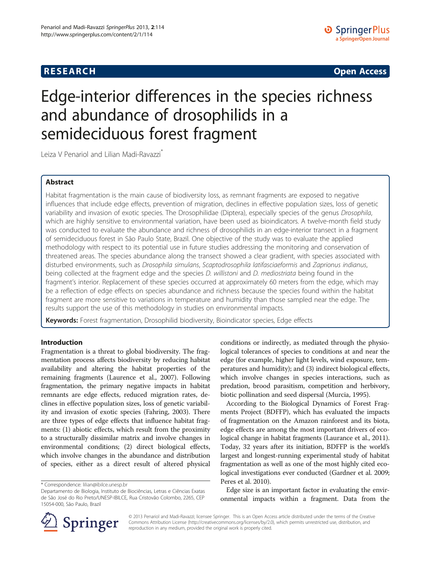**RESEARCH CHINESE ARCH CHINESE ARCH CHINESE ARCH <b>CHINESE ARCH** 

# Edge-interior differences in the species richness and abundance of drosophilids in a semideciduous forest fragment

Leiza V Penariol and Lilian Madi-Ravazzi<sup>®</sup>

#### Abstract

Habitat fragmentation is the main cause of biodiversity loss, as remnant fragments are exposed to negative influences that include edge effects, prevention of migration, declines in effective population sizes, loss of genetic variability and invasion of exotic species. The Drosophilidae (Diptera), especially species of the genus Drosophila, which are highly sensitive to environmental variation, have been used as bioindicators. A twelve-month field study was conducted to evaluate the abundance and richness of drosophilids in an edge-interior transect in a fragment of semideciduous forest in São Paulo State, Brazil. One objective of the study was to evaluate the applied methodology with respect to its potential use in future studies addressing the monitoring and conservation of threatened areas. The species abundance along the transect showed a clear gradient, with species associated with disturbed environments, such as Drosophila simulans, Scaptodrosophila latifasciaeformis and Zaprionus indianus, being collected at the fragment edge and the species *D. willistoni* and *D. mediostriata* being found in the fragment's interior. Replacement of these species occurred at approximately 60 meters from the edge, which may be a reflection of edge effects on species abundance and richness because the species found within the habitat fragment are more sensitive to variations in temperature and humidity than those sampled near the edge. The results support the use of this methodology in studies on environmental impacts.

Keywords: Forest fragmentation, Drosophilid biodiversity, Bioindicator species, Edge effects

#### Introduction

Fragmentation is a threat to global biodiversity. The fragmentation process affects biodiversity by reducing habitat availability and altering the habitat properties of the remaining fragments (Laurence et al., [2007\)](#page-5-0). Following fragmentation, the primary negative impacts in habitat remnants are edge effects, reduced migration rates, declines in effective population sizes, loss of genetic variability and invasion of exotic species (Fahring, [2003](#page-5-0)). There are three types of edge effects that influence habitat fragments: (1) abiotic effects, which result from the proximity to a structurally dissimilar matrix and involve changes in environmental conditions; (2) direct biological effects, which involve changes in the abundance and distribution of species, either as a direct result of altered physical

conditions or indirectly, as mediated through the physiological tolerances of species to conditions at and near the edge (for example, higher light levels, wind exposure, temperatures and humidity); and (3) indirect biological effects, which involve changes in species interactions, such as predation, brood parasitism, competition and herbivory, biotic pollination and seed dispersal (Murcia, [1995\)](#page-5-0).

According to the Biological Dynamics of Forest Fragments Project (BDFFP), which has evaluated the impacts of fragmentation on the Amazon rainforest and its biota, edge effects are among the most important drivers of ecological change in habitat fragments (Laurance et al., [2011](#page-5-0)). Today, 32 years after its initiation, BDFFP is the world's largest and longest-running experimental study of habitat fragmentation as well as one of the most highly cited ecological investigations ever conducted (Gardner et al. [2009](#page-5-0); Peres et al. [2010](#page-6-0)).

Edge size is an important factor in evaluating the environmental impacts within a fragment. Data from the



© 2013 Penariol and Madi-Ravazzi; licensee Springer. This is an Open Access article distributed under the terms of the Creative Commons Attribution License (<http://creativecommons.org/licenses/by/2.0>), which permits unrestricted use, distribution, and reproduction in any medium, provided the original work is properly cited.

<sup>\*</sup> Correspondence: [lilian@ibilce.unesp.br](mailto:lilian@ibilce.unesp.br)

Departamento de Biologia, Instituto de Biociências, Letras e Ciências Exatas de São José do Rio Preto/UNESP-IBILCE, Rua Cristovão Colombo, 2265, CEP 15054-000, São Paulo, Brazil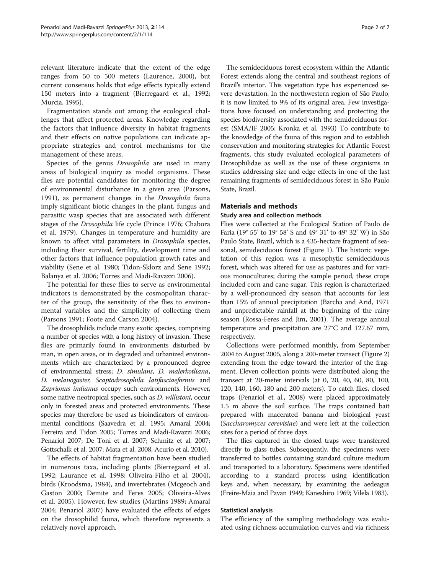relevant literature indicate that the extent of the edge ranges from 50 to 500 meters (Laurence, [2000\)](#page-5-0), but current consensus holds that edge effects typically extend 150 meters into a fragment (Bierregaard et al., [1992](#page-5-0); Murcia, [1995\)](#page-5-0).

Fragmentation stands out among the ecological challenges that affect protected areas. Knowledge regarding the factors that influence diversity in habitat fragments and their effects on native populations can indicate appropriate strategies and control mechanisms for the management of these areas.

Species of the genus Drosophila are used in many areas of biological inquiry as model organisms. These flies are potential candidates for monitoring the degree of environmental disturbance in a given area (Parsons, [1991](#page-6-0)), as permanent changes in the Drosophila fauna imply significant biotic changes in the plant, fungus and parasitic wasp species that are associated with different stages of the Drosophila life cycle (Prince [1976](#page-6-0); Chabora et al. [1979\)](#page-5-0). Changes in temperature and humidity are known to affect vital parameters in Drosophila species, including their survival, fertility, development time and other factors that influence population growth rates and viability (Sene et al. [1980;](#page-6-0) Tidon-Sklorz and Sene [1992](#page-6-0); Balanya et al. [2006](#page-5-0); Torres and Madi-Ravazzi [2006\)](#page-6-0).

The potential for these flies to serve as environmental indicators is demonstrated by the cosmopolitan character of the group, the sensitivity of the flies to environmental variables and the simplicity of collecting them (Parsons [1991](#page-6-0); Foote and Carson [2004\)](#page-5-0).

The drosophilids include many exotic species, comprising a number of species with a long history of invasion. These flies are primarily found in environments disturbed by man, in open areas, or in degraded and urbanized environments which are characterized by a pronounced degree of environmental stress; D. simulans, D. malerkotliana, D. melanogaster, Scaptodrosophila latifasciaeformis and Zaprionus indianus occupy such environments. However, some native neotropical species, such as D. willistoni, occur only in forested areas and protected environments. These species may therefore be used as bioindicators of environmental conditions (Saavedra et al. [1995;](#page-6-0) Amaral [2004](#page-5-0); Ferreira and Tidon [2005;](#page-5-0) Torres and Madi-Ravazzi [2006](#page-6-0); Penariol [2007](#page-6-0); De Toni et al. [2007;](#page-5-0) Schmitz et al. [2007](#page-6-0); Gottschalk et al. [2007;](#page-5-0) Mata et al. [2008,](#page-5-0) Acurio et al. [2010\)](#page-5-0).

The effects of habitat fragmentation have been studied in numerous taxa, including plants (Bierregaard et al. [1992](#page-5-0); Laurance et al. [1998](#page-5-0); Oliveira-Filho et al. [2004](#page-6-0)), birds (Kroodsma, [1984](#page-5-0)), and invertebrates (Mcgeoch and Gaston [2000;](#page-5-0) Demite and Feres [2005](#page-5-0); Oliveira-Alves et al. [2005](#page-6-0)). However, few studies (Martins [1989](#page-5-0); Amaral [2004](#page-5-0); Penariol [2007](#page-6-0)) have evaluated the effects of edges on the drosophilid fauna, which therefore represents a relatively novel approach.

The semideciduous forest ecosystem within the Atlantic Forest extends along the central and southeast regions of Brazil's interior. This vegetation type has experienced severe devastation. In the northwestern region of São Paulo, it is now limited to 9% of its original area. Few investigations have focused on understanding and protecting the species biodiversity associated with the semideciduous forest (SMA/IF [2005;](#page-6-0) Kronka et al. [1993](#page-5-0)) To contribute to the knowledge of the fauna of this region and to establish conservation and monitoring strategies for Atlantic Forest fragments, this study evaluated ecological parameters of Drosophilidae as well as the use of these organisms in studies addressing size and edge effects in one of the last remaining fragments of semideciduous forest in São Paulo State, Brazil.

#### Materials and methods

#### Study area and collection methods

Flies were collected at the Ecological Station of Paulo de Faria (19° 55' to 19° 58' S and 49° 31' to 49° 32' W) in São Paulo State, Brazil, which is a 435-hectare fragment of seasonal, semideciduous forest (Figure [1](#page-2-0)). The historic vegetation of this region was a mesophytic semideciduous forest, which was altered for use as pastures and for various monocultures; during the sample period, these crops included corn and cane sugar. This region is characterized by a well-pronounced dry season that accounts for less than 15% of annual precipitation (Barcha and Arid, [1971](#page-5-0) and unpredictable rainfall at the beginning of the rainy season (Rossa-Feres and Jim, [2001\)](#page-6-0). The average annual temperature and precipitation are 27°C and 127.67 mm, respectively.

Collections were performed monthly, from September 2004 to August 2005, along a 200-meter transect (Figure [2](#page-2-0)) extending from the edge toward the interior of the fragment. Eleven collection points were distributed along the transect at 20-meter intervals (at 0, 20, 40, 60, 80, 100, 120, 140, 160, 180 and 200 meters). To catch flies, closed traps (Penariol et al., [2008\)](#page-6-0) were placed approximately 1.5 m above the soil surface. The traps contained bait prepared with macerated banana and biological yeast (Saccharomyces cerevisiae) and were left at the collection sites for a period of three days.

The flies captured in the closed traps were transferred directly to glass tubes. Subsequently, the specimens were transferred to bottles containing standard culture medium and transported to a laboratory. Specimens were identified according to a standard process using identification keys and, when necessary, by examining the aedeagus (Freire-Maia and Pavan [1949;](#page-5-0) Kaneshiro [1969;](#page-5-0) Vilela [1983\)](#page-6-0).

#### Statistical analysis

The efficiency of the sampling methodology was evaluated using richness accumulation curves and via richness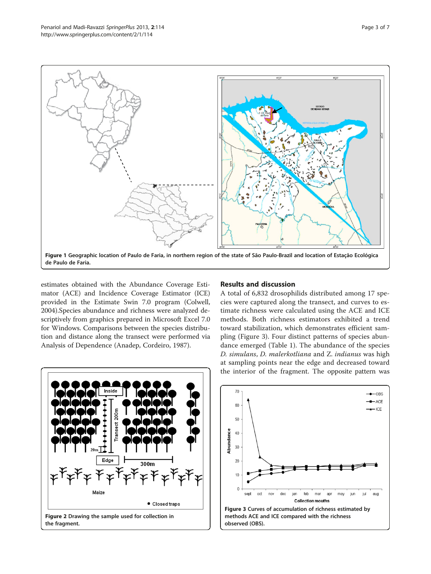<span id="page-2-0"></span>

estimates obtained with the Abundance Coverage Estimator (ACE) and Incidence Coverage Estimator (ICE) provided in the Estimate Swin 7.0 program (Colwell, [2004](#page-5-0)).Species abundance and richness were analyzed descriptively from graphics prepared in Microsoft Excel 7.0 for Windows. Comparisons between the species distribution and distance along the transect were performed via Analysis of Dependence (Anadep, Cordeiro, [1987\)](#page-5-0).

## Results and discussion

A total of 6,832 drosophilids distributed among 17 species were captured along the transect, and curves to estimate richness were calculated using the ACE and ICE methods. Both richness estimators exhibited a trend toward stabilization, which demonstrates efficient sampling (Figure 3). Four distinct patterns of species abundance emerged (Table [1](#page-3-0)). The abundance of the species D. simulans, D. malerkotliana and Z. indianus was high at sampling points near the edge and decreased toward the interior of the fragment. The opposite pattern was



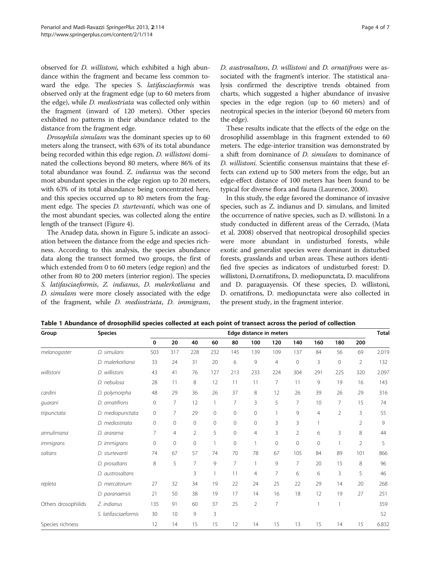<span id="page-3-0"></span>observed for D. willistoni, which exhibited a high abundance within the fragment and became less common toward the edge. The species S. latifasciaeformis was observed only at the fragment edge (up to 60 meters from the edge), while D. mediostriata was collected only within the fragment (inward of 120 meters). Other species exhibited no patterns in their abundance related to the distance from the fragment edge.

Drosophila simulans was the dominant species up to 60 meters along the transect, with 63% of its total abundance being recorded within this edge region. D. willistoni dominated the collections beyond 80 meters, where 86% of its total abundance was found. Z. indianus was the second most abundant species in the edge region up to 20 meters, with 63% of its total abundance being concentrated here, and this species occurred up to 80 meters from the fragment edge. The species D. sturtevanti, which was one of the most abundant species, was collected along the entire length of the transect (Figure [4](#page-4-0)).

The Anadep data, shown in Figure [5,](#page-4-0) indicate an association between the distance from the edge and species richness. According to this analysis, the species abundance data along the transect formed two groups, the first of which extended from 0 to 60 meters (edge region) and the other from 80 to 200 meters (interior region). The species S. latifasciaeformis, Z. indianus, D. malerkotliana and D. simulans were more closely associated with the edge of the fragment, while D. mediostriata, D. immigrans, D. austrosaltans, D. willistoni and D. ornatifrons were associated with the fragment's interior. The statistical analysis confirmed the descriptive trends obtained from charts, which suggested a higher abundance of invasive species in the edge region (up to 60 meters) and of neotropical species in the interior (beyond 60 meters from the edge).

These results indicate that the effects of the edge on the drosophilid assemblage in this fragment extended to 60 meters. The edge-interior transition was demonstrated by a shift from dominance of D. simulans to dominance of D. willistoni. Scientific consensus maintains that these effects can extend up to 500 meters from the edge, but an edge-effect distance of 100 meters has been found to be typical for diverse flora and fauna (Laurence, [2000](#page-5-0)).

In this study, the edge favored the dominance of invasive species, such as Z. indianus and D. simulans, and limited the occurrence of native species, such as D. willistoni. In a study conducted in different areas of the Cerrado, (Mata et al. [2008\)](#page-5-0) observed that neotropical drosophilid species were more abundant in undisturbed forests, while exotic and generalist species were dominant in disturbed forests, grasslands and urban areas. These authors identified five species as indicators of undisturbed forest: D. willistoni, D.ornatifrons, D. mediopunctata, D. maculifrons and D. paraguayensis. Of these species, D. willistoni, D. ornatifrons, D. mediopunctata were also collected in the present study, in the fragment interior.

|  |  |  | Table 1 Abundance of drosophilid species collected at each point of transect across the period of collection |
|--|--|--|--------------------------------------------------------------------------------------------------------------|
|--|--|--|--------------------------------------------------------------------------------------------------------------|

| Group               | <b>Species</b>       | Edge distance in meters |                |                |             |              |                |                |                |                |                | <b>Total</b>   |       |
|---------------------|----------------------|-------------------------|----------------|----------------|-------------|--------------|----------------|----------------|----------------|----------------|----------------|----------------|-------|
|                     |                      | 0                       | 20             | 40             | 60          | 80           | 100            | 120            | 140            | 160            | 180            | 200            |       |
| melanogaster        | D. simulans          | 503                     | 317            | 228            | 232         | 145          | 139            | 109            | 137            | 84             | 56             | 69             | 2.019 |
|                     | D. malerkotliana     | 33                      | 24             | 31             | 20          | 6            | 9              | $\overline{4}$ | $\circ$        | 3              | $\circ$        | $\overline{2}$ | 132   |
| willistoni          | D. willistoni        | 43                      | 41             | 76             | 127         | 213          | 233            | 224            | 304            | 291            | 225            | 320            | 2.097 |
|                     | D. nebulosa          | 28                      | 11             | 8              | 12          | 11           | 11             | 7              | 11             | 9              | 19             | 16             | 143   |
| cardini             | D. polymorpha        | 48                      | 29             | 36             | 26          | 37           | 8              | 12             | 26             | 39             | 26             | 29             | 316   |
| quarani             | D. ornatifrons       | 0                       | $\overline{7}$ | 12             | 1           | 7            | 3              | 5              | 7              | 10             | 7              | 15             | 74    |
| tripunctata         | D. mediopunctata     | $\mathbf 0$             | $\overline{7}$ | 29             | $\circ$     | $\mathbf 0$  | $\circ$        | $\mathbf{1}$   | 9              | $\overline{4}$ | $\overline{2}$ | 3              | 55    |
|                     | D. mediostriata      | 0                       | $\mathbf{0}$   | $\Omega$       | $\mathbf 0$ | $\mathbf 0$  | $\circ$        | 3              | 3              |                |                | $\overline{2}$ | 9     |
| annulimana          | D. ararama           | 7                       | $\overline{4}$ | $\overline{2}$ | 5           | 0            | 4              | 3              | $\overline{2}$ | 6              | 3              | 8              | 44    |
| immigrans           | D. immigrans         | 0                       | $\circ$        | 0              | 1           | $\mathbf{0}$ | 1              | 0              | $\Omega$       | $\Omega$       |                | $\overline{2}$ | 5     |
| saltans             | D. sturtevanti       | 74                      | 67             | 57             | 74          | 70           | 78             | 67             | 105            | 84             | 89             | 101            | 866   |
|                     | D. prosaltans        | 8                       | 5              | 7              | 9           | 7            | $\mathbf{1}$   | 9              | $\overline{7}$ | 20             | 15             | 8              | 96    |
|                     | D. austrosaltans     |                         |                | 3              | 1           | 11           | $\overline{4}$ | 7              | 6              | 6              | 3              | 5              | 46    |
| repleta             | D. mercatorum        | 27                      | 32             | 34             | 19          | 22           | 24             | 25             | 22             | 29             | 14             | 20             | 268   |
|                     | D. paranaensis       | 21                      | 50             | 38             | 19          | 17           | 14             | 16             | 18             | 12             | 19             | 27             | 251   |
| Others drosophilids | Z. indianus          | 135                     | 91             | 60             | 37          | 25           | 2              | 7              |                |                |                |                | 359   |
|                     | S. latifasciaeformis | 30                      | 10             | 9              | 3           |              |                |                |                |                |                |                | 52    |
| Species richness    |                      | 12                      | 14             | 15             | 15          | 12           | 14             | 15             | 13             | 15             | 14             | 15             | 6.832 |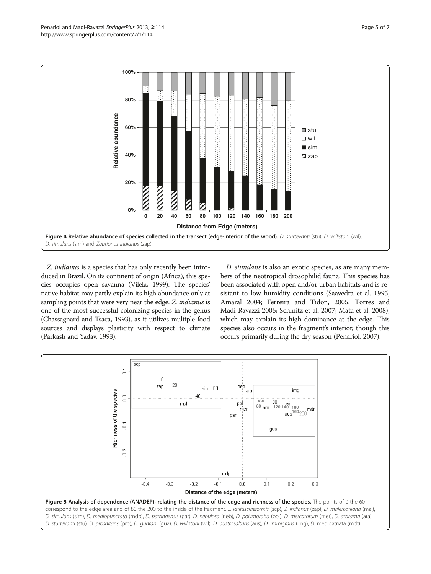<span id="page-4-0"></span>

Z. indianus is a species that has only recently been introduced in Brazil. On its continent of origin (Africa), this species occupies open savanna (Vilela, [1999](#page-6-0)). The species' native habitat may partly explain its high abundance only at sampling points that were very near the edge. Z. indianus is one of the most successful colonizing species in the genus (Chassagnard and Tsaca, [1993](#page-5-0)), as it utilizes multiple food sources and displays plasticity with respect to climate (Parkash and Yadav, [1993](#page-6-0)).

D. simulans is also an exotic species, as are many members of the neotropical drosophilid fauna. This species has been associated with open and/or urban habitats and is resistant to low humidity conditions (Saavedra et al. [1995](#page-6-0); Amaral [2004](#page-5-0); Ferreira and Tidon, [2005](#page-5-0); Torres and Madi-Ravazzi [2006](#page-6-0); Schmitz et al. [2007](#page-6-0); Mata et al. [2008](#page-5-0)), which may explain its high dominance at the edge. This species also occurs in the fragment's interior, though this occurs primarily during the dry season (Penariol, [2007](#page-6-0)).

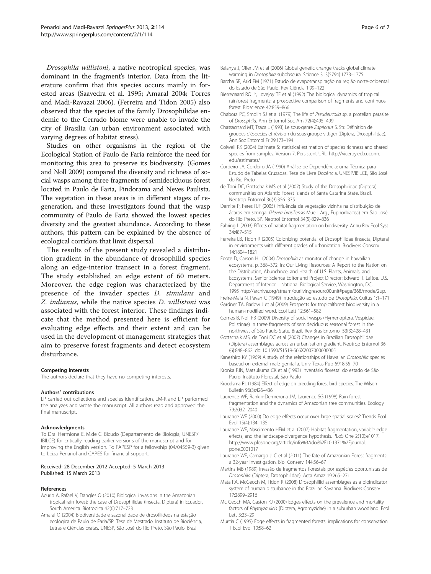<span id="page-5-0"></span>Drosophila willistoni, a native neotropical species, was dominant in the fragment's interior. Data from the literature confirm that this species occurs mainly in forested areas (Saavedra et al. [1995;](#page-6-0) Amaral 2004; Torres and Madi-Ravazzi [2006\)](#page-6-0). (Ferreira and Tidon 2005) also observed that the species of the family Drosophilidae endemic to the Cerrado biome were unable to invade the city of Brasília (an urban environment associated with varying degrees of habitat stress).

Studies on other organisms in the region of the Ecological Station of Paulo de Faria reinforce the need for monitoring this area to preserve its biodiversity. (Gomes and Noll 2009) compared the diversity and richness of social wasps among three fragments of semideciduous forest located in Paulo de Faria, Pindorama and Neves Paulista. The vegetation in these areas is in different stages of regeneration, and these investigators found that the wasp community of Paulo de Faria showed the lowest species diversity and the greatest abundance. According to these authors, this pattern can be explained by the absence of ecological corridors that limit dispersal.

The results of the present study revealed a distribution gradient in the abundance of drosophilid species along an edge-interior transect in a forest fragment. The study established an edge extent of 60 meters. Moreover, the edge region was characterized by the presence of the invader species D. simulans and Z. indianus, while the native species D. willistoni was associated with the forest interior. These findings indicate that the method presented here is efficient for evaluating edge effects and their extent and can be used in the development of management strategies that aim to preserve forest fragments and detect ecosystem disturbance.

#### Competing interests

The authors declare that they have no competing interests.

#### Authors' contributions

LP carried out collections and species identification, LM-R and LP performed the analyzes and wrote the manuscript. All authors read and approved the final manuscript.

#### Acknowledgments

To Dra. Hermione E. M.de C. Bicudo (Departamento de Biologia, UNESP/ IBILCE) for critically reading earlier versions of the manuscript and for improving the English version. To FAPESP for a fellowship (04/04559-3) given to Leiza Penariol and CAPES for financial support.

#### Received: 28 December 2012 Accepted: 5 March 2013 Published: 15 March 2013

#### References

- Acurio A, Rafael V, Dangles O (2010) Biological invasions in the Amazonian tropical rain forest: the case of Drosophilidae (Insecta, Diptera) in Ecuador, South America. Biotropica 42(6):717–723
- Amaral O (2004) Biodiversidade e sazonalidade de drosofilídeos na estação ecológica de Paulo de Faria/SP. Tese de Mestrado. Instituto de Biociência, Letras e Ciências Exatas. UNESP, São José do Rio Preto. São Paulo. Brazil
- Balanya J, Oller JM et al (2006) Global genetic change tracks global climate warming in Drosophila subobscura. Science 313(5794):1773–1775
- Barcha SF, Arid FM (1971) Estudo de evapotranspiração na região norte-ocidental do Estado de São Paulo. Rev Ciência 1:99–122
- Bierregaard RO Jr, Lovejoy TE et al (1992) The biological dynamics of tropical rainforest fragments: a prospective comparison of fragments and continuos forest. Bioscience 42:859–866
- Chabora PC, Smolin SJ et al (1979) The life of Pseudeucoila sp. a protelian parasite of Drosophila. Ann Entomol Soc Am 72(4):495–499
- Chassagnard MT, Tsaca L (1993) Le sous-genre Zaprionus S. Str. Définition de groupes d'éspecies et révision du sous-groupe vittiger (Diptera, Drosophilidae). Ann Soc Entomol Fr 29:173–194
- Colwell RK (2004) Estimate S: statistical estimation of species richness and shared species from samples. Version 7. Persistent URL. [http://viceroy.eeb.uconn.](http://viceroy.eeb.uconn.edu/estimates/) [edu/estimates/](http://viceroy.eeb.uconn.edu/estimates/)
- Cordeiro JA, Cordeiro JA (1990) Análise de Dependência: uma Técnica para Estudo de Tabelas Cruzadas. Tese de Livre Docência, UNESP/IBILCE, São José do Rio Preto
- de Toni DC, Gottschalk MS et al (2007) Study of the Drosophilidae (Diptera) communities on Atlantic Forest islands of Santa Catarina State, Brazil. Neotrop Entomol 36(3):356–375
- Demite P, Feres RJF (2005) Influência de vegetação vizinha na distribuição de ácaros em seringal (Hevea brasiliensis Muell. Arg., Euphorbiacea) em São José do Rio Preto, SP. Neotrol Entomol 34(5):829–836
- Fahring L (2003) Effects of habitat fragmentation on biodiversity. Annu Rev Ecol Syst 34:487–515
- Ferreira LB, Tidon R (2005) Colonizing potential of Drosophilidae (Insecta, Diptera) in environments with different grades of urbanization. Biodivers Conserv 14:1804–1821

Foote D, Carson HL (2004) Drosophila as monitor of change in hawailian ecosystems. p. 368–372. In: Our Living Resources: A Report to the Nation on the Distribution, Abundance, and Health of U.S. Plants, Animals, and Ecosystems. Senior Science Editor and Project Director: Edward T. LaRoe. U.S. Department of Interior – National Biological Service, Washington, DC,

1995<http://archive.org/stream/ourlivingresourc00unit#page/368/mode/2up>. Freire-Maia N, Pavan C (1949) Introdução ao estudo de Drosophila. Cultus 1:1–171

- Gardner TA, Barlow J et al (2009) Prospects for tropicalforest biodiversity in a human-modified word. Ecol Lett 12:561–582
- Gomes B, Noll FB (2009) Diversity of social wasps (Hymenoptera, Vespidae, Polistinae) in three fragments of semideciduous seasonal forest in the northwest of São Paulo State, Brazil. Rev Bras Entomol 53(3):428–431
- Gottschalk MS, de Toni DC et al (2007) Changes in Brazilian Drosophilidae (Diptera) assemblages across an urbanisation gradient. Neotrop Entomol 36 (6):848–862. doi:[10.1590/S1519-566X2007000600005](http://dx.doi.org/10.1590/S1519-566X2007000600005)
- Kaneshiro KY (1969) A study of the relationships of Hawaiian Drosophila species basead on external male genitalia. Univ Texas Pub 6918:55–70
- Kronka FJN, Matsukuma CK et al (1993) Inventário florestal do estado de São Paulo. Instituto Florestal, São Paulo
- Kroodsma RL (1984) Effect of edge on breeding forest bird species. The Wilson Bulletin 96(3):426–436
- Laurence WF, Rankin-De-merona JM, Laurence SG (1998) Rain forest fragmentation and the dynamics of Amazonian tree communities. Ecology 79:2032–2040
- Laurance WF (2000) Do edge effects occur over large spatial scales? Trends Ecol Evol 15(4):134–135
- Laurance WF, Nascimento HEM et al (2007) Habitat fragmentation, variable edge effects, and the landscape-divergence hypothesis. PLoS One 2(10):e1017. [http://www.plosone.org/article/info%3Adoi%2F10.1371%2Fjournal.](http://dx.doi.org/http://www.plosone.org/article/info%3Adoi%2F10.1371%2Fjournal.pone.0001017) [pone.0001017](http://dx.doi.org/http://www.plosone.org/article/info%3Adoi%2F10.1371%2Fjournal.pone.0001017)
- Laurance WF, Camargo JLC et al (2011) The fate of Amazonian Forest fragments: a 32-year investigation. Biol Conserv 144:56–67
- Martins MB (1989) Invasão de fragmentos florestais por espécies oportunistas de Drosophila (Diptera, Drosophilidae). Acta Amaz 19:265–271
- Mata RA, McGeoch M, Tidon R (2008) Drosophillid assemblages as a bioindicator system of human disturbance in the Brazilian Savanna. Biodivers Conserv 17:2899–2916
- Mc Geoch MA, Gaston KJ (2000) Edges effects on the prevalence and mortality factors of Phytoyza ilicis (Diptera, Agromyzidae) in a suburban woodland. Ecol Lett 3:23–29
- Murcia C (1995) Edge effects in fragmented forests: implications for conservation. T Ecol Evol 10:58–62